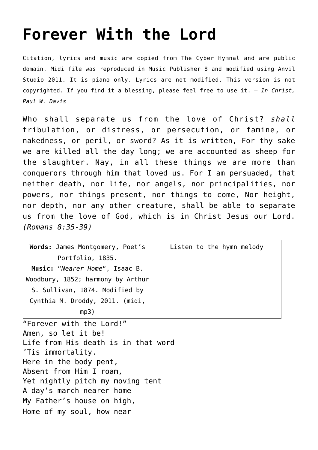## **[Forever With the Lord](http://reproachofmen.org/hymns-and-music/forever-with-the-lord/)**

Citation, lyrics and music are copied from [The Cyber Hymnal](http://www.hymntime.com/tch/index.htm) and are public domain. Midi file was reproduced in Music Publisher 8 and modified using Anvil Studio 2011. It is piano only. Lyrics are not modified. This version is not copyrighted. If you find it a blessing, please feel free to use it. — *In Christ, Paul W. Davis*

Who shall separate us from the love of Christ? *shall* tribulation, or distress, or persecution, or famine, or nakedness, or peril, or sword? As it is written, For thy sake we are killed all the day long; we are accounted as sheep for the slaughter. Nay, in all these things we are more than conquerors through him that loved us. For I am persuaded, that neither death, nor life, nor angels, nor principalities, nor powers, nor things present, nor things to come, Nor height, nor depth, nor any other creature, shall be able to separate us from the love of God, which is in Christ Jesus our Lord. *(Romans 8:35-39)*

| Words: James Montgomery, Poet's                                                                | Listen to the hymn melody |
|------------------------------------------------------------------------------------------------|---------------------------|
| Portfolio, 1835.                                                                               |                           |
| Music: "Nearer Home", Isaac B.                                                                 |                           |
| Woodbury, 1852; harmony by Arthur                                                              |                           |
| S. Sullivan, 1874. Modified by                                                                 |                           |
| Cynthia M. Droddy, 2011. (midi,                                                                |                           |
| mp3)                                                                                           |                           |
| $\boldsymbol{\theta}$ . The second constant of the set of the second for $\boldsymbol{\theta}$ |                           |

"Forever with the Lord!" Amen, so let it be! Life from His death is in that word 'Tis immortality. Here in the body pent, Absent from Him I roam, Yet nightly pitch my moving tent A day's march nearer home My Father's house on high, Home of my soul, how near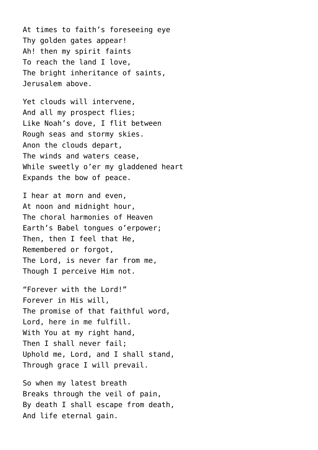At times to faith's foreseeing eye Thy golden gates appear! Ah! then my spirit faints To reach the land I love, The bright inheritance of saints, Jerusalem above.

Yet clouds will intervene, And all my prospect flies; Like Noah's dove, I flit between Rough seas and stormy skies. Anon the clouds depart, The winds and waters cease, While sweetly o'er my gladdened heart Expands the bow of peace.

I hear at morn and even, At noon and midnight hour, The choral harmonies of Heaven Earth's Babel tongues o'erpower; Then, then I feel that He, Remembered or forgot, The Lord, is never far from me, Though I perceive Him not.

"Forever with the Lord!" Forever in His will, The promise of that faithful word, Lord, here in me fulfill. With You at my right hand, Then I shall never fail; Uphold me, Lord, and I shall stand, Through grace I will prevail.

So when my latest breath Breaks through the veil of pain, By death I shall escape from death, And life eternal gain.